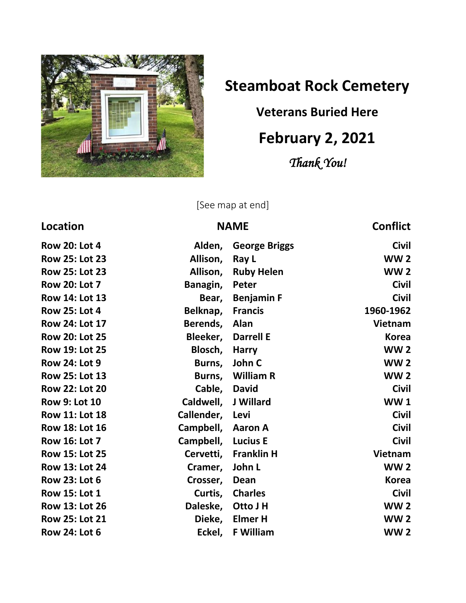

## **Steamboat Rock Cemetery**

## **Veterans Buried Here**

## **February 2, 2021**

*Thank You!* 

[See map at end]

| Location              |                     | <b>NAME</b>          | <b>Conflict</b> |
|-----------------------|---------------------|----------------------|-----------------|
| <b>Row 20: Lot 4</b>  | Alden,              | <b>George Briggs</b> | <b>Civil</b>    |
| <b>Row 25: Lot 23</b> | Allison,            | Ray L                | <b>WW2</b>      |
| <b>Row 25: Lot 23</b> | Allison,            | <b>Ruby Helen</b>    | <b>WW2</b>      |
| <b>Row 20: Lot 7</b>  | Banagin,            | Peter                | <b>Civil</b>    |
| <b>Row 14: Lot 13</b> | Bear,               | <b>Benjamin F</b>    | <b>Civil</b>    |
| <b>Row 25: Lot 4</b>  | Belknap,            | <b>Francis</b>       | 1960-1962       |
| <b>Row 24: Lot 17</b> | Berends,            | Alan                 | <b>Vietnam</b>  |
| <b>Row 20: Lot 25</b> | Bleeker,            | <b>Darrell E</b>     | <b>Korea</b>    |
| <b>Row 19: Lot 25</b> | Blosch,             | <b>Harry</b>         | <b>WW2</b>      |
| <b>Row 24: Lot 9</b>  | Burns,              | John C               | <b>WW2</b>      |
| <b>Row 25: Lot 13</b> |                     | Burns, William R     | <b>WW2</b>      |
| <b>Row 22: Lot 20</b> | Cable, David        |                      | <b>Civil</b>    |
| <b>Row 9: Lot 10</b>  | Caldwell, J Willard |                      | <b>WW1</b>      |
| <b>Row 11: Lot 18</b> | Callender, Levi     |                      | <b>Civil</b>    |
| <b>Row 18: Lot 16</b> | Campbell, Aaron A   |                      | <b>Civil</b>    |
| <b>Row 16: Lot 7</b>  | Campbell, Lucius E  |                      | <b>Civil</b>    |
| <b>Row 15: Lot 25</b> | Cervetti,           | <b>Franklin H</b>    | <b>Vietnam</b>  |
| <b>Row 13: Lot 24</b> | Cramer,             | John L               | <b>WW2</b>      |
| <b>Row 23: Lot 6</b>  | Crosser,            | Dean                 | <b>Korea</b>    |
| <b>Row 15: Lot 1</b>  | Curtis,             | <b>Charles</b>       | <b>Civil</b>    |
| Row 13: Lot 26        | Daleske,            | Otto J H             | <b>WW2</b>      |
| <b>Row 25: Lot 21</b> | Dieke,              | <b>Elmer H</b>       | <b>WW2</b>      |
| <b>Row 24: Lot 6</b>  | Eckel,              | <b>F William</b>     | <b>WW2</b>      |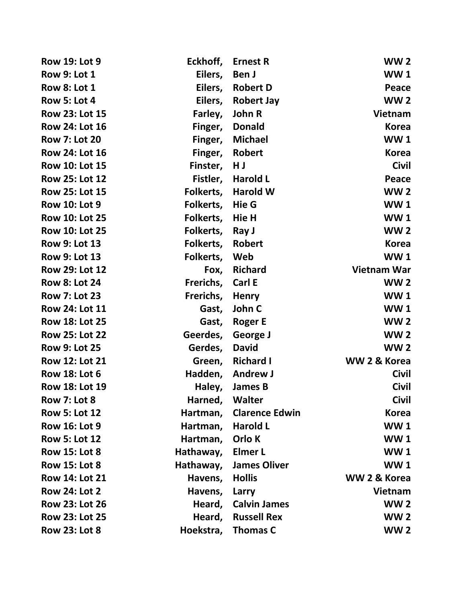| <b>Row 19: Lot 9</b>  | Eckhoff,  | <b>Ernest R</b>       | <b>WW2</b>         |
|-----------------------|-----------|-----------------------|--------------------|
| <b>Row 9: Lot 1</b>   | Eilers,   | Ben J                 | <b>WW1</b>         |
| <b>Row 8: Lot 1</b>   | Eilers,   | <b>Robert D</b>       | Peace              |
| <b>Row 5: Lot 4</b>   | Eilers,   | <b>Robert Jay</b>     | <b>WW2</b>         |
| <b>Row 23: Lot 15</b> | Farley,   | John R                | <b>Vietnam</b>     |
| Row 24: Lot 16        | Finger,   | <b>Donald</b>         | <b>Korea</b>       |
| <b>Row 7: Lot 20</b>  | Finger,   | <b>Michael</b>        | <b>WW1</b>         |
| Row 24: Lot 16        | Finger,   | <b>Robert</b>         | <b>Korea</b>       |
| <b>Row 10: Lot 15</b> | Finster,  | HJ                    | <b>Civil</b>       |
| <b>Row 25: Lot 12</b> | Fistler,  | <b>Harold L</b>       | Peace              |
| <b>Row 25: Lot 15</b> | Folkerts, | <b>Harold W</b>       | <b>WW2</b>         |
| <b>Row 10: Lot 9</b>  | Folkerts, | Hie G                 | <b>WW1</b>         |
| <b>Row 10: Lot 25</b> | Folkerts, | Hie H                 | <b>WW1</b>         |
| Row 10: Lot 25        | Folkerts, | Ray J                 | <b>WW2</b>         |
| <b>Row 9: Lot 13</b>  | Folkerts, | <b>Robert</b>         | <b>Korea</b>       |
| <b>Row 9: Lot 13</b>  | Folkerts, | Web                   | <b>WW1</b>         |
| <b>Row 29: Lot 12</b> | Fox,      | <b>Richard</b>        | <b>Vietnam War</b> |
| <b>Row 8: Lot 24</b>  | Frerichs, | Carl E                | <b>WW2</b>         |
| <b>Row 7: Lot 23</b>  | Frerichs, | <b>Henry</b>          | <b>WW1</b>         |
| Row 24: Lot 11        | Gast,     | John C                | <b>WW1</b>         |
| <b>Row 18: Lot 25</b> | Gast,     | <b>Roger E</b>        | <b>WW2</b>         |
| <b>Row 25: Lot 22</b> | Geerdes,  | <b>George J</b>       | <b>WW2</b>         |
| <b>Row 9: Lot 25</b>  | Gerdes,   | <b>David</b>          | <b>WW2</b>         |
| <b>Row 12: Lot 21</b> | Green,    | <b>Richard I</b>      | WW 2 & Korea       |
| <b>Row 18: Lot 6</b>  | Hadden,   | <b>Andrew J</b>       | <b>Civil</b>       |
| Row 18: Lot 19        | Haley,    | <b>James B</b>        | <b>Civil</b>       |
| <b>Row 7: Lot 8</b>   | Harned,   | Walter                | <b>Civil</b>       |
| <b>Row 5: Lot 12</b>  | Hartman,  | <b>Clarence Edwin</b> | <b>Korea</b>       |
| <b>Row 16: Lot 9</b>  | Hartman,  | <b>Harold L</b>       | <b>WW1</b>         |
| <b>Row 5: Lot 12</b>  | Hartman,  | Orlo K                | <b>WW1</b>         |
| <b>Row 15: Lot 8</b>  | Hathaway, | <b>Elmer L</b>        | <b>WW1</b>         |
| <b>Row 15: Lot 8</b>  | Hathaway, | <b>James Oliver</b>   | <b>WW1</b>         |
| <b>Row 14: Lot 21</b> | Havens,   | <b>Hollis</b>         | WW 2 & Korea       |
| <b>Row 24: Lot 2</b>  | Havens,   | Larry                 | <b>Vietnam</b>     |
| <b>Row 23: Lot 26</b> | Heard,    | <b>Calvin James</b>   | <b>WW 2</b>        |
| <b>Row 23: Lot 25</b> | Heard,    | <b>Russell Rex</b>    | <b>WW2</b>         |
| <b>Row 23: Lot 8</b>  | Hoekstra, | <b>Thomas C</b>       | <b>WW2</b>         |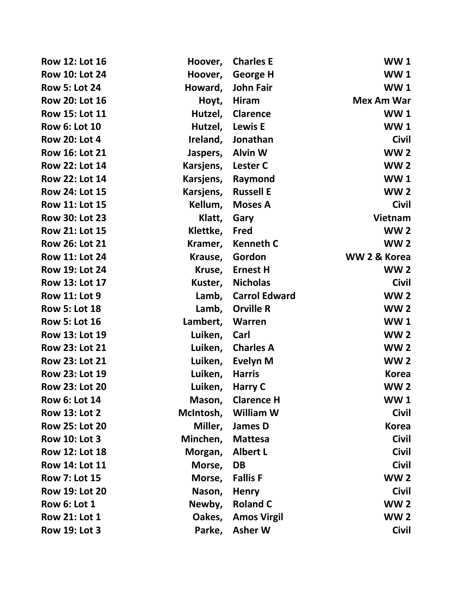| Row 12: Lot 16        | Hoover,   | <b>Charles E</b>     | <b>WW1</b>        |
|-----------------------|-----------|----------------------|-------------------|
| <b>Row 10: Lot 24</b> | Hoover,   | <b>George H</b>      | <b>WW1</b>        |
| <b>Row 5: Lot 24</b>  | Howard,   | John Fair            | <b>WW1</b>        |
| <b>Row 20: Lot 16</b> | Hoyt,     | Hiram                | <b>Mex Am War</b> |
| <b>Row 15: Lot 11</b> | Hutzel,   | <b>Clarence</b>      | <b>WW1</b>        |
| <b>Row 6: Lot 10</b>  | Hutzel,   | <b>Lewis E</b>       | <b>WW1</b>        |
| <b>Row 20: Lot 4</b>  | Ireland,  | Jonathan             | <b>Civil</b>      |
| <b>Row 16: Lot 21</b> | Jaspers,  | <b>Alvin W</b>       | <b>WW2</b>        |
| <b>Row 22: Lot 14</b> | Karsjens, | <b>Lester C</b>      | <b>WW2</b>        |
| <b>Row 22: Lot 14</b> | Karsjens, | Raymond              | <b>WW1</b>        |
| <b>Row 24: Lot 15</b> | Karsjens, | <b>Russell E</b>     | <b>WW2</b>        |
| <b>Row 11: Lot 15</b> | Kellum,   | <b>Moses A</b>       | <b>Civil</b>      |
| <b>Row 30: Lot 23</b> | Klatt,    | Gary                 | <b>Vietnam</b>    |
| <b>Row 21: Lot 15</b> | Klettke,  | Fred                 | <b>WW2</b>        |
| <b>Row 26: Lot 21</b> | Kramer,   | <b>Kenneth C</b>     | <b>WW2</b>        |
| <b>Row 11: Lot 24</b> | Krause,   | Gordon               | WW 2 & Korea      |
| <b>Row 19: Lot 24</b> | Kruse,    | <b>Ernest H</b>      | <b>WW2</b>        |
| Row 13: Lot 17        | Kuster,   | <b>Nicholas</b>      | <b>Civil</b>      |
| <b>Row 11: Lot 9</b>  | Lamb,     | <b>Carrol Edward</b> | <b>WW2</b>        |
| <b>Row 5: Lot 18</b>  | Lamb,     | <b>Orville R</b>     | <b>WW2</b>        |
| <b>Row 5: Lot 16</b>  | Lambert,  | <b>Warren</b>        | <b>WW1</b>        |
| Row 13: Lot 19        | Luiken,   | Carl                 | <b>WW2</b>        |
| <b>Row 23: Lot 21</b> | Luiken,   | <b>Charles A</b>     | <b>WW2</b>        |
| Row 23: Lot 21        | Luiken,   | Evelyn M             | <b>WW2</b>        |
| Row 23: Lot 19        | Luiken,   | <b>Harris</b>        | <b>Korea</b>      |
| <b>Row 23: Lot 20</b> | Luiken,   | Harry C              | <b>WW2</b>        |
| <b>Row 6: Lot 14</b>  | Mason,    | <b>Clarence H</b>    | WW 1              |
| <b>Row 13: Lot 2</b>  | McIntosh, | <b>William W</b>     | <b>Civil</b>      |
| <b>Row 25: Lot 20</b> | Miller,   | <b>James D</b>       | <b>Korea</b>      |
| <b>Row 10: Lot 3</b>  | Minchen,  | <b>Mattesa</b>       | <b>Civil</b>      |
| <b>Row 12: Lot 18</b> | Morgan,   | <b>Albert L</b>      | <b>Civil</b>      |
| Row 14: Lot 11        | Morse,    | <b>DB</b>            | <b>Civil</b>      |
| <b>Row 7: Lot 15</b>  | Morse,    | <b>Fallis F</b>      | <b>WW2</b>        |
| <b>Row 19: Lot 20</b> | Nason,    | <b>Henry</b>         | <b>Civil</b>      |
| <b>Row 6: Lot 1</b>   | Newby,    | <b>Roland C</b>      | <b>WW2</b>        |
| <b>Row 21: Lot 1</b>  | Oakes,    | <b>Amos Virgil</b>   | <b>WW2</b>        |
| <b>Row 19: Lot 3</b>  | Parke,    | <b>Asher W</b>       | <b>Civil</b>      |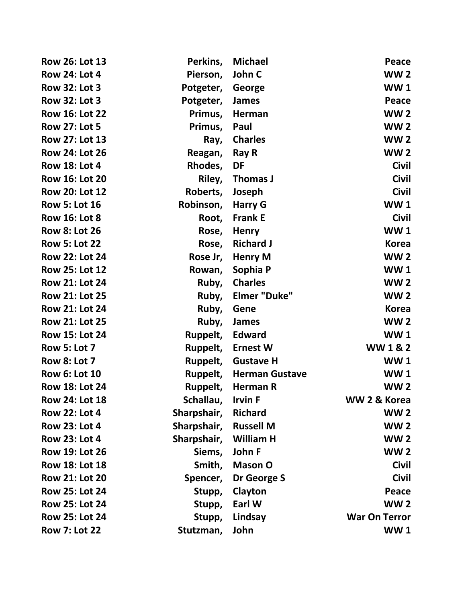| Row 26: Lot 13        | Perkins,    | <b>Michael</b>        | Peace                |
|-----------------------|-------------|-----------------------|----------------------|
| <b>Row 24: Lot 4</b>  | Pierson,    | John C                | <b>WW2</b>           |
| <b>Row 32: Lot 3</b>  | Potgeter,   | George                | <b>WW1</b>           |
| <b>Row 32: Lot 3</b>  | Potgeter,   | <b>James</b>          | Peace                |
| <b>Row 16: Lot 22</b> | Primus,     | Herman                | <b>WW2</b>           |
| <b>Row 27: Lot 5</b>  | Primus,     | Paul                  | <b>WW2</b>           |
| Row 27: Lot 13        | Ray,        | <b>Charles</b>        | <b>WW2</b>           |
| <b>Row 24: Lot 26</b> | Reagan,     | <b>Ray R</b>          | <b>WW2</b>           |
| <b>Row 18: Lot 4</b>  | Rhodes,     | DF                    | <b>Civil</b>         |
| <b>Row 16: Lot 20</b> | Riley,      | <b>Thomas J</b>       | <b>Civil</b>         |
| <b>Row 20: Lot 12</b> | Roberts,    | Joseph                | <b>Civil</b>         |
| <b>Row 5: Lot 16</b>  | Robinson,   | <b>Harry G</b>        | <b>WW1</b>           |
| <b>Row 16: Lot 8</b>  | Root,       | <b>Frank E</b>        | <b>Civil</b>         |
| <b>Row 8: Lot 26</b>  | Rose,       | <b>Henry</b>          | <b>WW1</b>           |
| <b>Row 5: Lot 22</b>  | Rose,       | <b>Richard J</b>      | <b>Korea</b>         |
| <b>Row 22: Lot 24</b> | Rose Jr,    | <b>Henry M</b>        | <b>WW2</b>           |
| <b>Row 25: Lot 12</b> | Rowan,      | Sophia P              | <b>WW1</b>           |
| <b>Row 21: Lot 24</b> | Ruby,       | <b>Charles</b>        | <b>WW2</b>           |
| <b>Row 21: Lot 25</b> | Ruby,       | <b>Elmer "Duke"</b>   | <b>WW2</b>           |
| <b>Row 21: Lot 24</b> | Ruby,       | Gene                  | <b>Korea</b>         |
| <b>Row 21: Lot 25</b> | Ruby,       | <b>James</b>          | <b>WW2</b>           |
| <b>Row 15: Lot 24</b> | Ruppelt,    | <b>Edward</b>         | <b>WW1</b>           |
| <b>Row 5: Lot 7</b>   | Ruppelt,    | <b>Ernest W</b>       | <b>WW1&amp;2</b>     |
| <b>Row 8: Lot 7</b>   |             | Ruppelt, Gustave H    | <b>WW1</b>           |
| <b>Row 6: Lot 10</b>  | Ruppelt,    | <b>Herman Gustave</b> | <b>WW1</b>           |
| <b>Row 18: Lot 24</b> | Ruppelt,    | Herman R              | <b>WW2</b>           |
| <b>Row 24: Lot 18</b> | Schallau,   | <b>Irvin F</b>        | WW 2 & Korea         |
| <b>Row 22: Lot 4</b>  | Sharpshair, | <b>Richard</b>        | <b>WW2</b>           |
| <b>Row 23: Lot 4</b>  | Sharpshair, | <b>Russell M</b>      | <b>WW2</b>           |
| <b>Row 23: Lot 4</b>  | Sharpshair, | <b>William H</b>      | <b>WW2</b>           |
| <b>Row 19: Lot 26</b> | Siems,      | John F                | <b>WW2</b>           |
| <b>Row 18: Lot 18</b> | Smith,      | <b>Mason O</b>        | <b>Civil</b>         |
| <b>Row 21: Lot 20</b> | Spencer,    | Dr George S           | <b>Civil</b>         |
| <b>Row 25: Lot 24</b> | Stupp,      | Clayton               | Peace                |
| <b>Row 25: Lot 24</b> | Stupp,      | Earl W                | <b>WW2</b>           |
| <b>Row 25: Lot 24</b> | Stupp,      | Lindsay               | <b>War On Terror</b> |
| <b>Row 7: Lot 22</b>  | Stutzman,   | John                  | <b>WW1</b>           |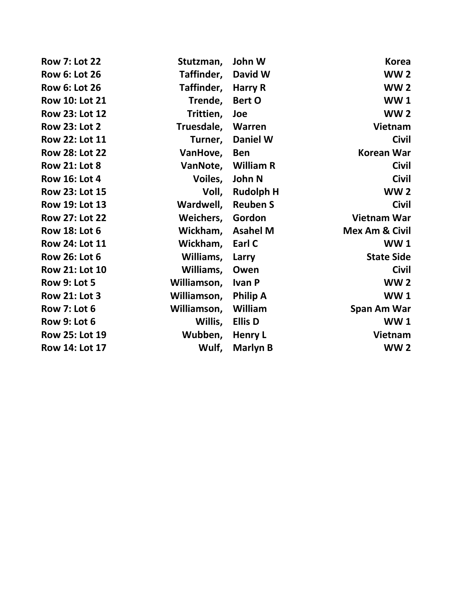| <b>Row 7: Lot 22</b>  | Stutzman,   | John W           | <b>Korea</b>              |
|-----------------------|-------------|------------------|---------------------------|
| <b>Row 6: Lot 26</b>  | Taffinder,  | David W          | <b>WW2</b>                |
| <b>Row 6: Lot 26</b>  | Taffinder,  | Harry R          | <b>WW2</b>                |
| <b>Row 10: Lot 21</b> | Trende,     | Bert O           | <b>WW1</b>                |
| Row 23: Lot 12        | Trittien,   | Joe              | <b>WW2</b>                |
| <b>Row 23: Lot 2</b>  | Truesdale,  | Warren           | Vietnam                   |
| Row 22: Lot 11        | Turner,     | <b>Daniel W</b>  | <b>Civil</b>              |
| <b>Row 28: Lot 22</b> | VanHove,    | <b>Ben</b>       | <b>Korean War</b>         |
| <b>Row 21: Lot 8</b>  | VanNote,    | William R        | <b>Civil</b>              |
| <b>Row 16: Lot 4</b>  | Voiles,     | John N           | <b>Civil</b>              |
| Row 23: Lot 15        | Voll,       | <b>Rudolph H</b> | <b>WW2</b>                |
| <b>Row 19: Lot 13</b> | Wardwell,   | <b>Reuben S</b>  | <b>Civil</b>              |
| <b>Row 27: Lot 22</b> | Weichers,   | Gordon           | <b>Vietnam War</b>        |
| <b>Row 18: Lot 6</b>  | Wickham,    | <b>Asahel M</b>  | <b>Mex Am &amp; Civil</b> |
| <b>Row 24: Lot 11</b> | Wickham,    | Earl C           | <b>WW1</b>                |
| <b>Row 26: Lot 6</b>  | Williams,   | Larry            | <b>State Side</b>         |
| Row 21: Lot 10        | Williams,   | Owen             | <b>Civil</b>              |
| <b>Row 9: Lot 5</b>   | Williamson, | <b>Ivan P</b>    | <b>WW2</b>                |
| <b>Row 21: Lot 3</b>  | Williamson, | <b>Philip A</b>  | <b>WW1</b>                |
| <b>Row 7: Lot 6</b>   | Williamson, | William          | Span Am War               |
| <b>Row 9: Lot 6</b>   | Willis,     | <b>Ellis D</b>   | <b>WW1</b>                |
| Row 25: Lot 19        | Wubben,     | <b>Henry L</b>   | <b>Vietnam</b>            |
| Row 14: Lot 17        | Wulf,       | <b>Marlyn B</b>  | <b>WW2</b>                |